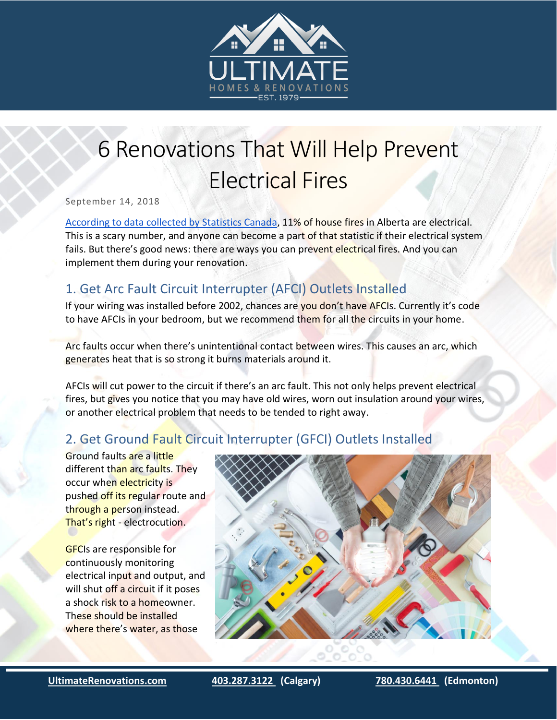

# **6 Renovations That Will Help Prevent** Electrical Fires

September 14, 2018

[According to data collected by Statistics Canada,](http://nfidcanada.ca/wp-content/uploads/2017/09/Fire-statistics-in-Canada-2005-to-2014.pdf) 11% of house fires in Alberta are electrical. This is a scary number, and anyone can become a part of that statistic if their electrical system fails. But there's good news: there are ways you can prevent electrical fires. And you can implement them during your renovation.

# 1. Get Arc Fault Circuit Interrupter (AFCI) Outlets Installed

If your wiring was installed before 2002, chances are you don't have AFCIs. Currently it's code to have AFCIs in your bedroom, but we recommend them for all the circuits in your home.

Arc faults occur when there's unintentional contact between wires. This causes an arc, which generates heat that is so strong it burns materials around it.

AFCIs will cut power to the circuit if there's an arc fault. This not only helps prevent electrical fires, but gives you notice that you may have old wires, worn out insulation around your wires, or another electrical problem that needs to be tended to right away.

# 2. Get Ground Fault Circuit Interrupter (GFCI) Outlets Installed

Ground faults are a little different than arc faults. They occur when electricity is pushed off its regular route and through a person instead. That's right - electrocution.

GFCIs are responsible for continuously monitoring electrical input and output, and will shut off a circuit if it poses a shock risk to a homeowner. These should be installed where there's water, as those



i<br>I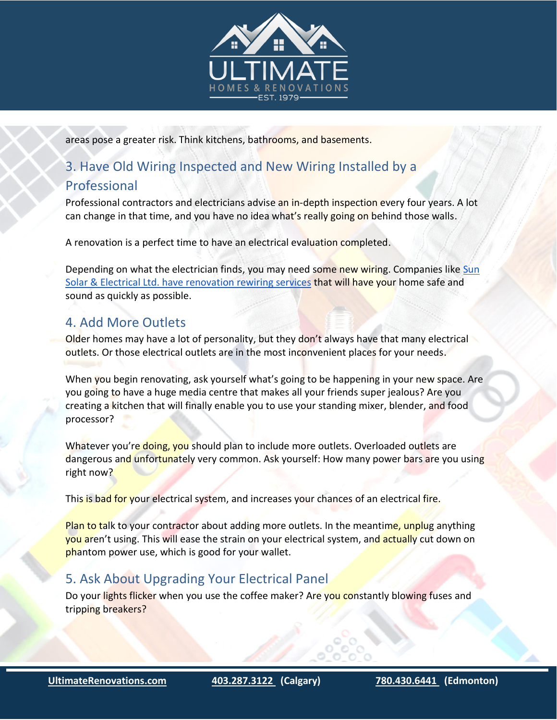

areas pose a greater risk. Think kitchens, bathrooms, and basements.

#### 3. Have Old Wiring Inspected and New Wiring Installed by a

#### Professional

Professional contractors and electricians advise an in-depth inspection every four years. A lot can change in that time, and you have no idea what's really going on behind those walls.

A renovation is a perfect time to have an electrical evaluation completed.

Depending on what the electrician finds, you may need some new wiring. Companies like Sun [Solar & Electrical Ltd. have renovation rewiring services](https://www.sunsolarelectrical.ca/service/wiring-renovations-additions-custom-homes/) that will have your home safe and sound as quickly as possible.

### 4. Add More Outlets

Older homes may have a lot of personality, but they don't always have that many electrical outlets. Or those electrical outlets are in the most inconvenient places for your needs.

When you begin renovating, ask yourself what's going to be happening in your new space. Are you going to have a huge media centre that makes all your friends super jealous? Are you creating a kitchen that will finally enable you to use your standing mixer, blender, and food processor?

Whatever you're doing, you should plan to include more outlets. Overloaded outlets are dangerous and unfortunately very common. Ask yourself: How many power bars are you using right now?

This is bad for your electrical system, and increases your chances of an electrical fire.

Plan to talk to your contractor about adding more outlets. In the meantime, unplug anything you aren't using. This will ease the strain on your electrical system, and actually cut down on phantom power use, which is good for your wallet.

# 5. Ask About Upgrading Your Electrical Panel

Do your lights flicker when you use the coffee maker? Are you constantly blowing fuses and tripping breakers?

i<br>I